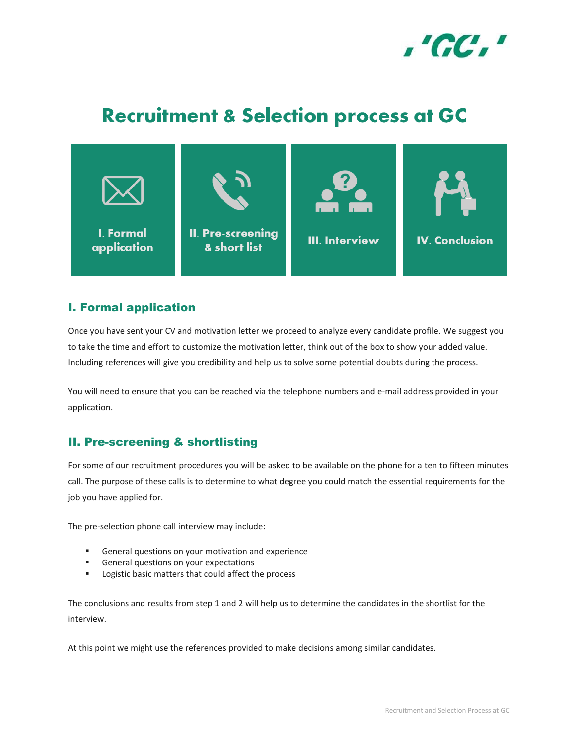

# **Recruitment & Selection process at GC**



### I. Formal application

Once you have sent your CV and motivation letter we proceed to analyze every candidate profile. We suggest you to take the time and effort to customize the motivation letter, think out of the box to show your added value. Including references will give you credibility and help us to solve some potential doubts during the process.

You will need to ensure that you can be reached via the telephone numbers and e-mail address provided in your application.

## II. Pre-screening & shortlisting

For some of our recruitment procedures you will be asked to be available on the phone for a ten to fifteen minutes call. The purpose of these calls is to determine to what degree you could match the essential requirements for the job you have applied for.

The pre-selection phone call interview may include:

- **General questions on your motivation and experience**
- General questions on your expectations
- **EXEC** Logistic basic matters that could affect the process

The conclusions and results from step 1 and 2 will help us to determine the candidates in the shortlist for the interview.

At this point we might use the references provided to make decisions among similar candidates.